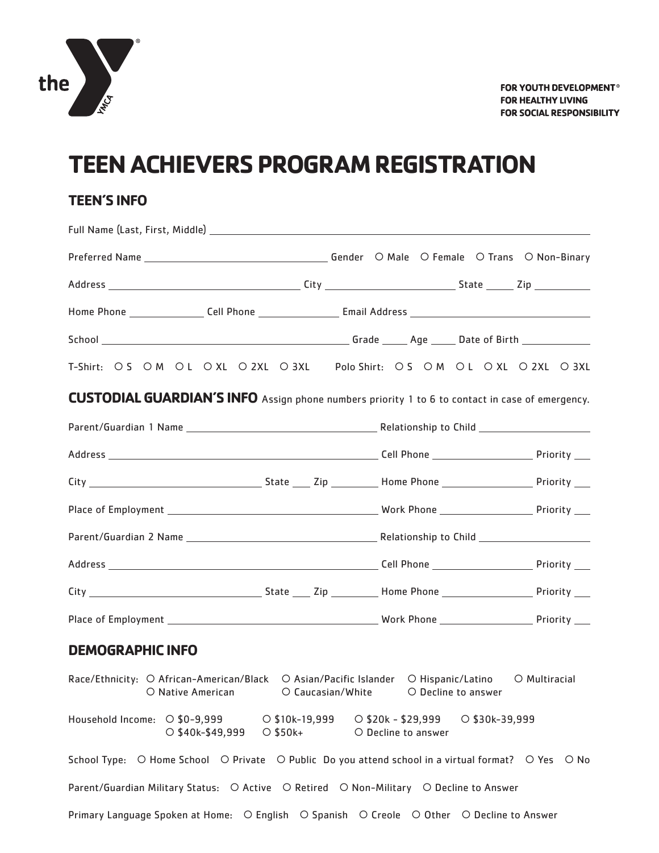

## **TEEN ACHIEVERS PROGRAM REGISTRATION**

## **TEEN'S INFO**

|                                                                                                        |  | T-Shirt: OS OM OL OXL O2XL O3XL Polo Shirt: OS OM OL OXL O2XL O3XL |  |
|--------------------------------------------------------------------------------------------------------|--|--------------------------------------------------------------------|--|
| <b>CUSTODIAL GUARDIAN'S INFO</b> Assign phone numbers priority 1 to 6 to contact in case of emergency. |  |                                                                    |  |
|                                                                                                        |  |                                                                    |  |
|                                                                                                        |  |                                                                    |  |
|                                                                                                        |  |                                                                    |  |
|                                                                                                        |  |                                                                    |  |
|                                                                                                        |  |                                                                    |  |
|                                                                                                        |  |                                                                    |  |
|                                                                                                        |  |                                                                    |  |
|                                                                                                        |  |                                                                    |  |

## **DEMOGRAPHIC INFO**

Race/Ethnicity: O African-American/Black O Asian/Pacific Islander O Hispanic/Latino O Multiracial O Native American **C** Caucasian/White **C** Decline to answer Household Income: \$0-9,999 \$10k-19,999 \$20k - \$29,999 \$30k-39,999  $\overline{O}$  \$40k-\$49,999  $\overline{O}$  \$50k+  $\overline{O}$  Decline to answer School Type: O Home School O Private O Public Do you attend school in a virtual format? O Yes O No Parent/Guardian Military Status: O Active O Retired O Non-Military O Decline to Answer Primary Language Spoken at Home: O English O Spanish O Creole O Other O Decline to Answer